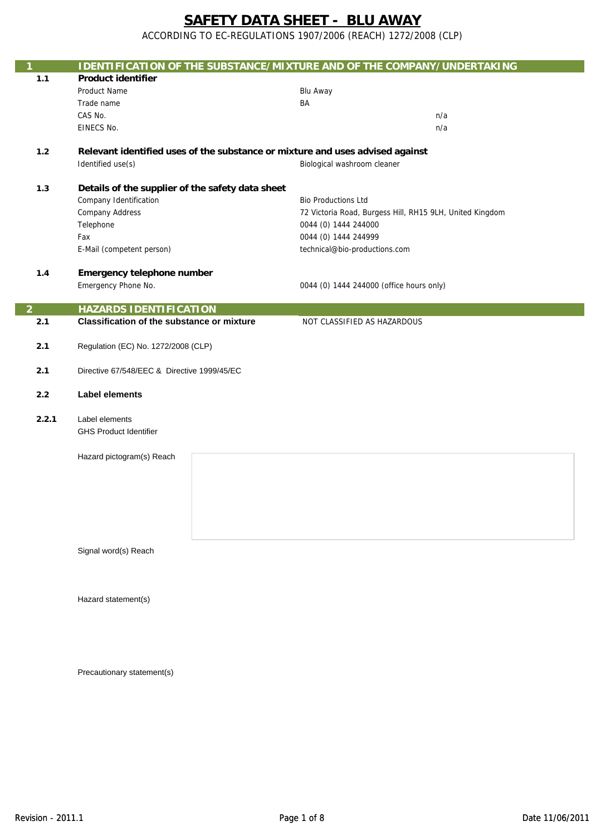ACCORDING TO EC-REGULATIONS 1907/2006 (REACH) 1272/2008 (CLP)

|       |                                                   | <b>IDENTIFICATION OF THE SUBSTANCE/MIXTURE AND OF THE COMPANY/UNDERTAKING</b> |
|-------|---------------------------------------------------|-------------------------------------------------------------------------------|
| 1.1   | <b>Product identifier</b>                         |                                                                               |
|       | Product Name                                      | Blu Away                                                                      |
|       | Trade name                                        | BA                                                                            |
|       | CAS No.                                           | n/a                                                                           |
|       | EINECS No.                                        | n/a                                                                           |
|       |                                                   |                                                                               |
| $1.2$ |                                                   | Relevant identified uses of the substance or mixture and uses advised against |
|       | Identified use(s)                                 | Biological washroom cleaner                                                   |
|       |                                                   |                                                                               |
| 1.3   | Details of the supplier of the safety data sheet  |                                                                               |
|       | Company Identification                            | <b>Bio Productions Ltd</b>                                                    |
|       | <b>Company Address</b>                            | 72 Victoria Road, Burgess Hill, RH15 9LH, United Kingdom                      |
|       | Telephone                                         | 0044 (0) 1444 244000                                                          |
|       | Fax                                               | 0044 (0) 1444 244999                                                          |
|       | E-Mail (competent person)                         | technical@bio-productions.com                                                 |
|       |                                                   |                                                                               |
| 1.4   | <b>Emergency telephone number</b>                 |                                                                               |
|       | Emergency Phone No.                               | 0044 (0) 1444 244000 (office hours only)                                      |
|       |                                                   |                                                                               |
| 2     | <b>HAZARDS IDENTIFICATION</b>                     |                                                                               |
| 2.1   | <b>Classification of the substance or mixture</b> | NOT CLASSIFIED AS HAZARDOUS                                                   |
|       |                                                   |                                                                               |
| 2.1   | Regulation (EC) No. 1272/2008 (CLP)               |                                                                               |
|       |                                                   |                                                                               |
| 2.1   | Directive 67/548/EEC & Directive 1999/45/EC       |                                                                               |
|       |                                                   |                                                                               |
| 2.2   | <b>Label elements</b>                             |                                                                               |
|       |                                                   |                                                                               |
| 2.2.1 | Label elements                                    |                                                                               |
|       | <b>GHS Product Identifier</b>                     |                                                                               |
|       |                                                   |                                                                               |
|       | Hazard pictogram(s) Reach                         |                                                                               |
|       |                                                   |                                                                               |
|       |                                                   |                                                                               |
|       |                                                   |                                                                               |
|       |                                                   |                                                                               |
|       |                                                   |                                                                               |
|       |                                                   |                                                                               |
|       |                                                   |                                                                               |
|       | Signal word(s) Reach                              |                                                                               |
|       |                                                   |                                                                               |
|       |                                                   |                                                                               |
|       | Hazard statement(s)                               |                                                                               |
|       |                                                   |                                                                               |
|       |                                                   |                                                                               |
|       |                                                   |                                                                               |

Precautionary statement(s)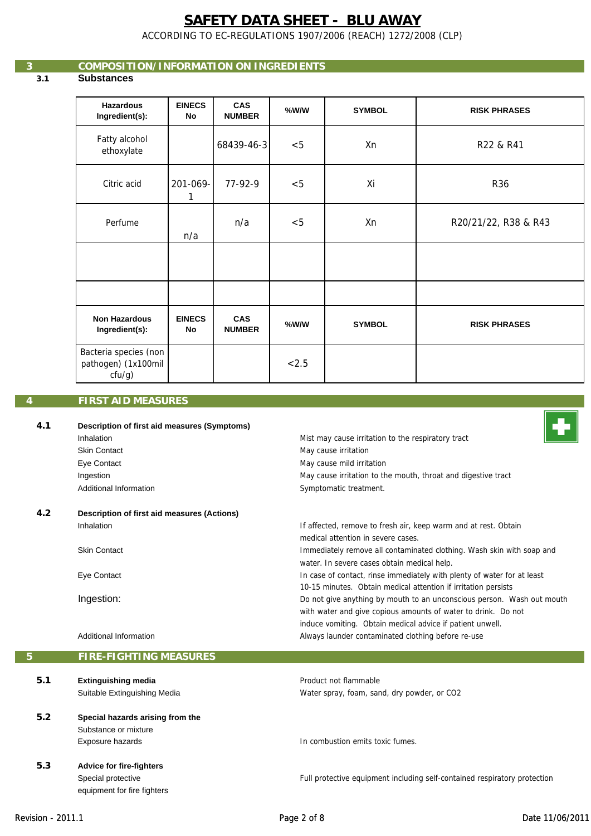ACCORDING TO EC-REGULATIONS 1907/2006 (REACH) 1272/2008 (CLP)

# **3 COMPOSITION/INFORMATION ON INGREDIENTS**

### **3.1 Substances**

| <b>Hazardous</b><br>Ingredient(s):                     | <b>EINECS</b><br><b>No</b> | CAS<br><b>NUMBER</b>        | %W/W  | <b>SYMBOL</b> | <b>RISK PHRASES</b>  |
|--------------------------------------------------------|----------------------------|-----------------------------|-------|---------------|----------------------|
| Fatty alcohol<br>ethoxylate                            |                            | 68439-46-3                  | < 5   | Xn            | R22 & R41            |
| Citric acid                                            | 201-069-<br>1              | 77-92-9                     | < 5   | Xi            | R36                  |
| Perfume                                                | n/a                        | n/a                         | < 5   | Xn            | R20/21/22, R38 & R43 |
|                                                        |                            |                             |       |               |                      |
|                                                        |                            |                             |       |               |                      |
| <b>Non Hazardous</b><br>Ingredient(s):                 | <b>EINECS</b><br><b>No</b> | <b>CAS</b><br><b>NUMBER</b> | %W/W  | <b>SYMBOL</b> | <b>RISK PHRASES</b>  |
| Bacteria species (non<br>pathogen) (1x100mil<br>cfu/g) |                            |                             | < 2.5 |               |                      |

### **4 FIRST AID MEASURES**

| 4.1 | Description of first aid measures (Symptoms) |                                                                         |
|-----|----------------------------------------------|-------------------------------------------------------------------------|
|     | Inhalation                                   | Mist may cause irritation to the respiratory tract                      |
|     | <b>Skin Contact</b>                          | May cause irritation                                                    |
|     | Eye Contact                                  | May cause mild irritation                                               |
|     | Ingestion                                    | May cause irritation to the mouth, throat and digestive tract           |
|     | Additional Information                       | Symptomatic treatment.                                                  |
| 4.2 | Description of first aid measures (Actions)  |                                                                         |
|     | <b>Inhalation</b>                            | If affected, remove to fresh air, keep warm and at rest. Obtain         |
|     |                                              | medical attention in severe cases.                                      |
|     | <b>Skin Contact</b>                          | Immediately remove all contaminated clothing. Wash skin with soap and   |
|     |                                              | water. In severe cases obtain medical help.                             |
|     | Eye Contact                                  | In case of contact, rinse immediately with plenty of water for at least |
|     |                                              | 10-15 minutes. Obtain medical attention if irritation persists          |
|     | Ingestion:                                   | Do not give anything by mouth to an unconscious person. Wash out mouth  |
|     |                                              | with water and give copious amounts of water to drink. Do not           |
|     |                                              | induce vomiting. Obtain medical advice if patient unwell.               |
|     | Additional Information                       | Always launder contaminated clothing before re-use                      |
| 5   | <b>FIRE-FIGHTING MEASURES</b>                |                                                                         |

| 5.1 | <b>Extinguishing media</b>       | Product not flammable                                                     |
|-----|----------------------------------|---------------------------------------------------------------------------|
|     | Suitable Extinguishing Media     | Water spray, foam, sand, dry powder, or CO2                               |
| 5.2 | Special hazards arising from the |                                                                           |
|     | Substance or mixture             |                                                                           |
|     | Exposure hazards                 | In combustion emits toxic fumes.                                          |
| 5.3 | <b>Advice for fire-fighters</b>  |                                                                           |
|     | Special protective               | Full protective equipment including self-contained respiratory protection |
|     | equipment for fire fighters      |                                                                           |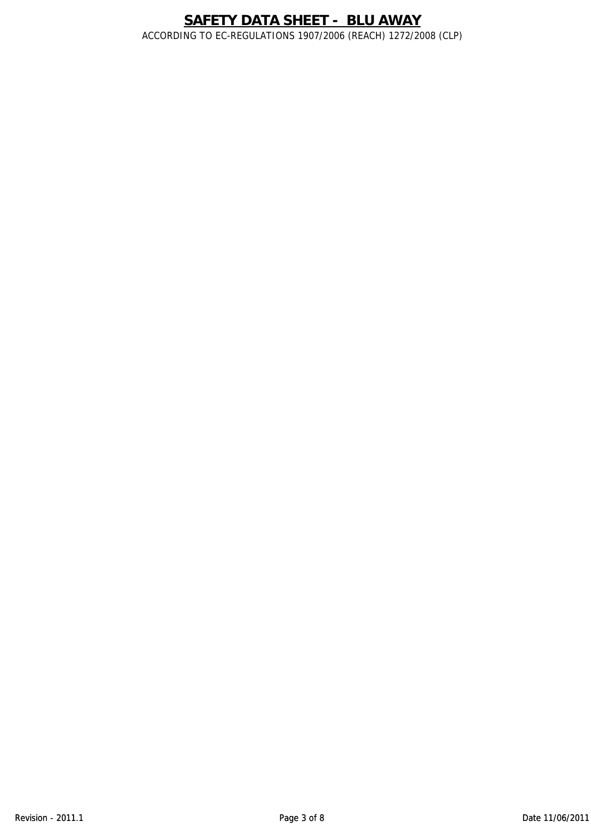ACCORDING TO EC-REGULATIONS 1907/2006 (REACH) 1272/2008 (CLP)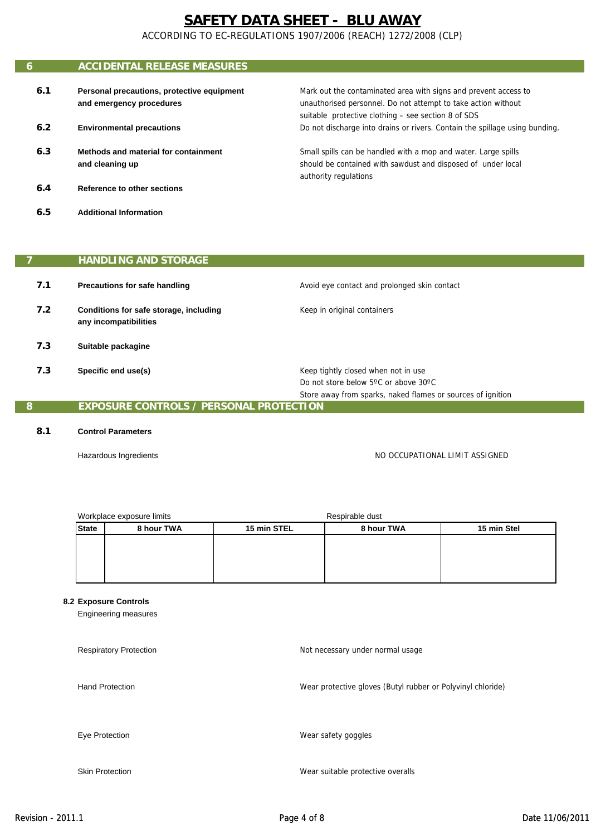ACCORDING TO EC-REGULATIONS 1907/2006 (REACH) 1272/2008 (CLP)

| $\overline{6}$ | <b>ACCIDENTAL RELEASE MEASURES</b>         |                                                                             |
|----------------|--------------------------------------------|-----------------------------------------------------------------------------|
|                |                                            |                                                                             |
| 6.1            | Personal precautions, protective equipment | Mark out the contaminated area with signs and prevent access to             |
|                | and emergency procedures                   | unauthorised personnel. Do not attempt to take action without               |
|                |                                            | suitable protective clothing - see section 8 of SDS                         |
| 6.2            | <b>Environmental precautions</b>           | Do not discharge into drains or rivers. Contain the spillage using bunding. |
| 6.3            | Methods and material for containment       | Small spills can be handled with a mop and water. Large spills              |
|                | and cleaning up                            | should be contained with sawdust and disposed of under local                |
|                |                                            | authority regulations                                                       |
| 6.4            | Reference to other sections                |                                                                             |
|                |                                            |                                                                             |

| 7   | <b>HANDLING AND STORAGE</b>                                     |                                                             |
|-----|-----------------------------------------------------------------|-------------------------------------------------------------|
| 7.1 | Precautions for safe handling                                   | Avoid eye contact and prolonged skin contact                |
| 7.2 | Conditions for safe storage, including<br>any incompatibilities | Keep in original containers                                 |
| 7.3 | Suitable packagine                                              |                                                             |
| 7.3 | Specific end use(s)                                             | Keep tightly closed when not in use                         |
|     |                                                                 | Do not store below 5°C or above 30°C                        |
|     |                                                                 | Store away from sparks, naked flames or sources of ignition |

**EXPOSURE CONTROLS / PERSONAL PROTECTION** 

# **8.1 Control Parameters**

**6.5 Additional Information**

Hazardous Ingredients

NO OCCUPATIONAL LIMIT ASSIGNED

| Workplace exposure limits |            |             | Respirable dust |             |  |
|---------------------------|------------|-------------|-----------------|-------------|--|
| <b>State</b>              | 8 hour TWA | 15 min STEL | 8 hour TWA      | 15 min Stel |  |
|                           |            |             |                 |             |  |
|                           |            |             |                 |             |  |
|                           |            |             |                 |             |  |
|                           |            |             |                 |             |  |

### **8.2 Exposure Controls**

Engineering measures

| <b>Respiratory Protection</b> | Not necessary under normal usage                            |
|-------------------------------|-------------------------------------------------------------|
| <b>Hand Protection</b>        | Wear protective gloves (Butyl rubber or Polyvinyl chloride) |
| Eye Protection                | Wear safety goggles                                         |
| <b>Skin Protection</b>        | Wear suitable protective overalls                           |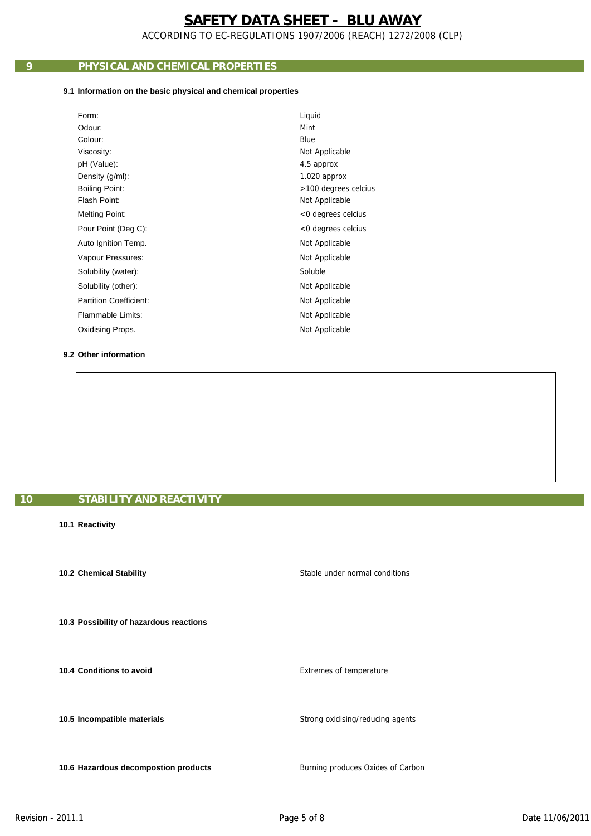ACCORDING TO EC-REGULATIONS 1907/2006 (REACH) 1272/2008 (CLP)

# **9 PHYSICAL AND CHEMICAL PROPERTIES**

#### **9.1 Information on the basic physical and chemical properties**

| Form:                         | Liquid               |
|-------------------------------|----------------------|
| Odour:                        | Mint                 |
| Colour:                       | Blue                 |
| Viscosity:                    | Not Applicable       |
| pH (Value):                   | 4.5 approx           |
| Density (g/ml):               | 1.020 approx         |
| <b>Boiling Point:</b>         | >100 degrees celcius |
| Flash Point:                  | Not Applicable       |
| <b>Melting Point:</b>         | <0 degrees celcius   |
| Pour Point (Deg C):           | <0 degrees celcius   |
| Auto Ignition Temp.           | Not Applicable       |
| Vapour Pressures:             | Not Applicable       |
| Solubility (water):           | Soluble              |
| Solubility (other):           | Not Applicable       |
| <b>Partition Coefficient:</b> | Not Applicable       |
| Flammable Limits:             | Not Applicable       |
| Oxidising Props.              | Not Applicable       |

**9.2 Other information**

### **10 STABILITY AND REACTIVITY**

**10.1 Reactivity**

 **10.2 Chemical Stability**

 **10.3 Possibility of hazardous reactions**

 **10.4 Conditions to avoid**

 **10.5 Incompatible materials**

 **10.6 Hazardous decompostion products**

Stable under normal conditions

Extremes of temperature

Strong oxidising/reducing agents

Burning produces Oxides of Carbon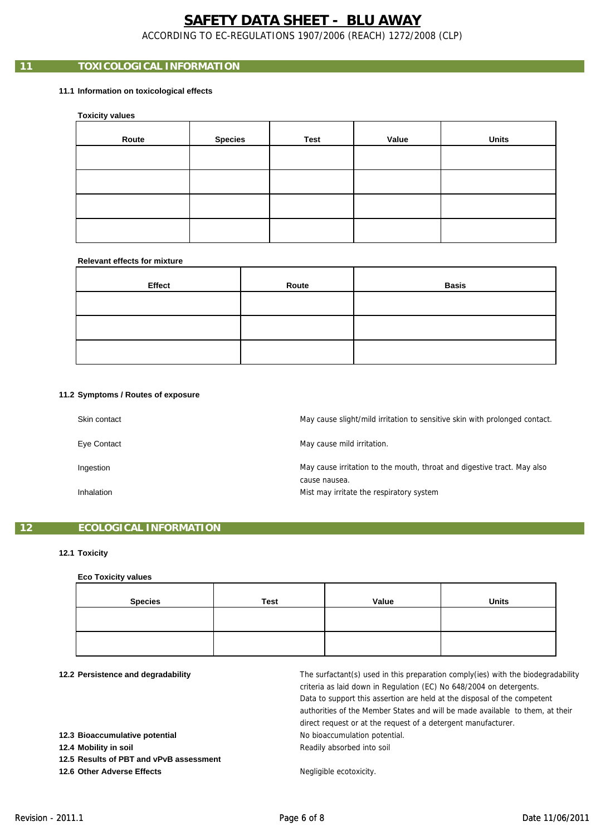ACCORDING TO EC-REGULATIONS 1907/2006 (REACH) 1272/2008 (CLP)

# **11 TOXICOLOGICAL INFORMATION**

### **11.1 Information on toxicological effects**

 **Toxicity values**

| Route | <b>Species</b> | <b>Test</b> | Value | <b>Units</b> |
|-------|----------------|-------------|-------|--------------|
|       |                |             |       |              |
|       |                |             |       |              |
|       |                |             |       |              |
|       |                |             |       |              |

### **Relevant effects for mixture**

| Effect | Route | <b>Basis</b> |
|--------|-------|--------------|
|        |       |              |
|        |       |              |
|        |       |              |

#### **11.2 Symptoms / Routes of exposure**

| Skin contact | May cause slight/mild irritation to sensitive skin with prolonged contact.               |
|--------------|------------------------------------------------------------------------------------------|
| Eye Contact  | May cause mild irritation.                                                               |
| Ingestion    | May cause irritation to the mouth, throat and digestive tract. May also<br>cause nausea. |
| Inhalation   | Mist may irritate the respiratory system                                                 |

## **12 ECOLOGICAL INFORMATION**

### **12.1 Toxicity**

#### **Eco Toxicity values**

| <b>Species</b> | <b>Test</b> | Value | <b>Units</b> |
|----------------|-------------|-------|--------------|
|                |             |       |              |
|                |             |       |              |

| 12.2 Persistence and degradability      | The surfactant(s) used in this preparation comply(ies) with the biodegradability<br>criteria as laid down in Regulation (EC) No 648/2004 on detergents. |
|-----------------------------------------|---------------------------------------------------------------------------------------------------------------------------------------------------------|
|                                         |                                                                                                                                                         |
|                                         | Data to support this assertion are held at the disposal of the competent                                                                                |
|                                         | authorities of the Member States and will be made available to them, at their                                                                           |
|                                         | direct request or at the request of a detergent manufacturer.                                                                                           |
| 12.3 Bioaccumulative potential          | No bioaccumulation potential.                                                                                                                           |
| 12.4 Mobility in soil                   | Readily absorbed into soil                                                                                                                              |
| 12.5 Results of PBT and vPvB assessment |                                                                                                                                                         |
| 12.6 Other Adverse Effects              | Negligible ecotoxicity.                                                                                                                                 |
|                                         |                                                                                                                                                         |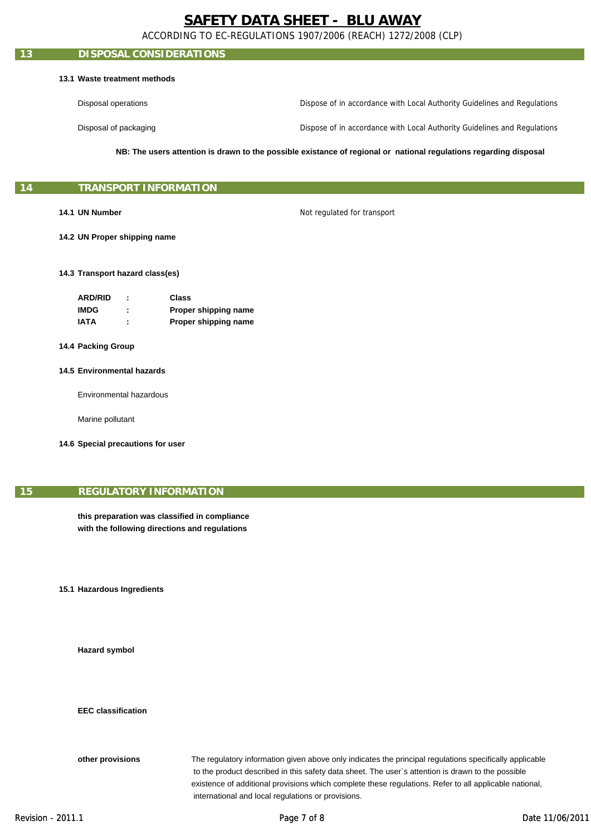ACCORDING TO EC-REGULATIONS 1907/2006 (REACH) 1272/2008 (CLP)

| 13                                                                                                                | <b>DISPOSAL CONSIDERATIONS</b> |                                                                          |  |  |
|-------------------------------------------------------------------------------------------------------------------|--------------------------------|--------------------------------------------------------------------------|--|--|
|                                                                                                                   | 13.1 Waste treatment methods   |                                                                          |  |  |
|                                                                                                                   | Disposal operations            | Dispose of in accordance with Local Authority Guidelines and Regulations |  |  |
|                                                                                                                   | Disposal of packaging          | Dispose of in accordance with Local Authority Guidelines and Regulations |  |  |
| NB: The users attention is drawn to the possible existance of regional or national regulations regarding disposal |                                |                                                                          |  |  |
|                                                                                                                   |                                |                                                                          |  |  |

## **15 TRANSPORT INFORMATION**

#### **14.1 UN Number**

Not regulated for transport

 **14.2 UN Proper shipping name**

 **14.3 Transport hazard class(es)**

| <b>ARD/RID</b> |   | <b>Class</b>         |
|----------------|---|----------------------|
| <b>IMDG</b>    |   | Proper shipping name |
| IATA           | ٠ | Proper shipping name |

 **14.4 Packing Group**

 **14.5 Environmental hazards**

Environmental hazardous

Marine pollutant

 **14.6 Special precautions for user**

### **15 REGULATORY INFORMATION**

**this preparation was classified in compliance with the following directions and regulations**

**15.1 Hazardous Ingredients**

 **Hazard symbol**

 **EEC classification**

 **other provisions** The regulatory information given above only indicates the principal regulations specifically applicable to the product described in this safety data sheet. The user`s attention is drawn to the possible existence of additional provisions which complete these regulations. Refer to all applicable national, international and local regulations or provisions.